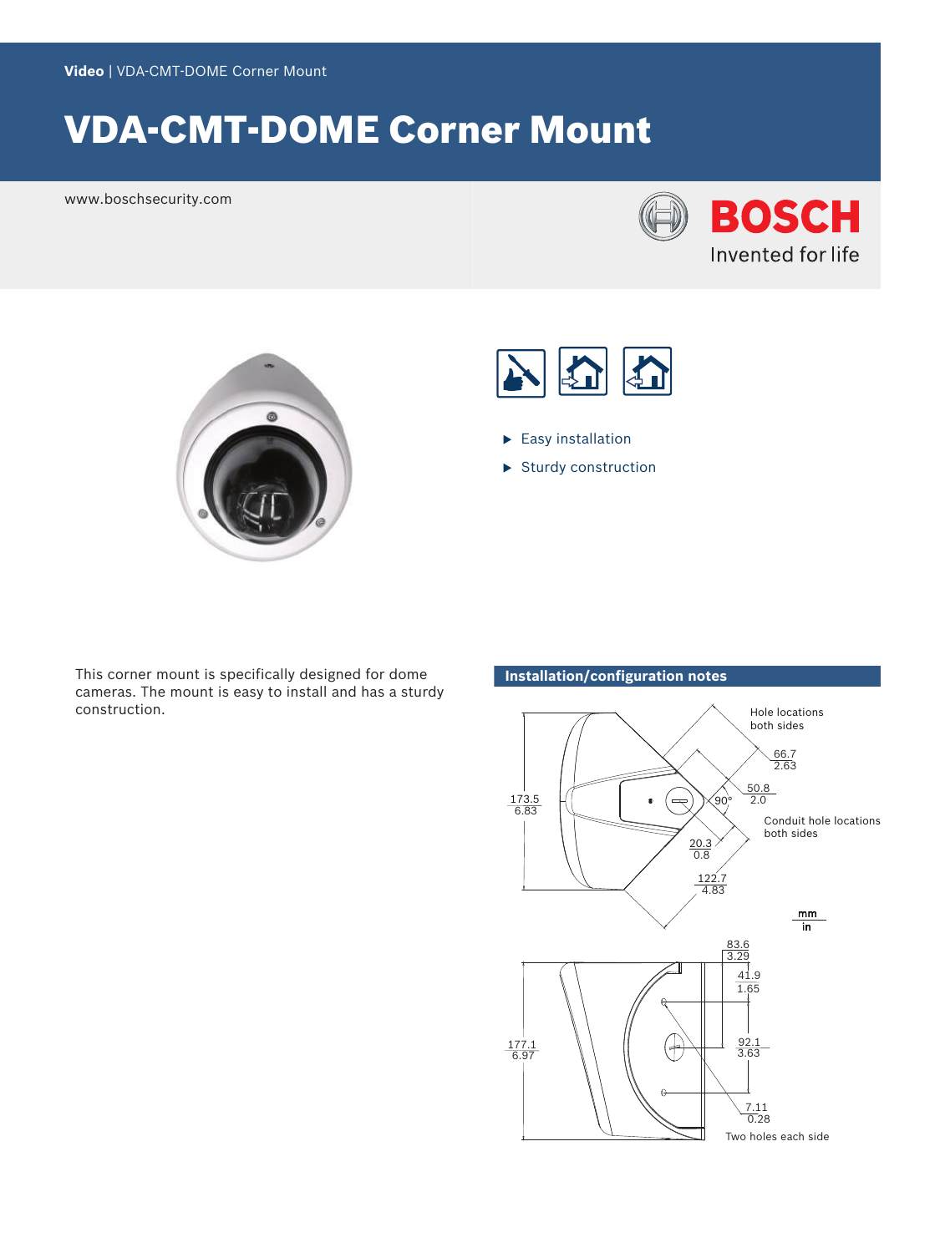# VDA-CMT-DOME Corner Mount

www.boschsecurity.com







- $\blacktriangleright$  Easy installation
- $\blacktriangleright$  Sturdy construction

This corner mount is specifically designed for dome cameras. The mount is easy to install and has a sturdy construction.

# **Installation/configuration notes**